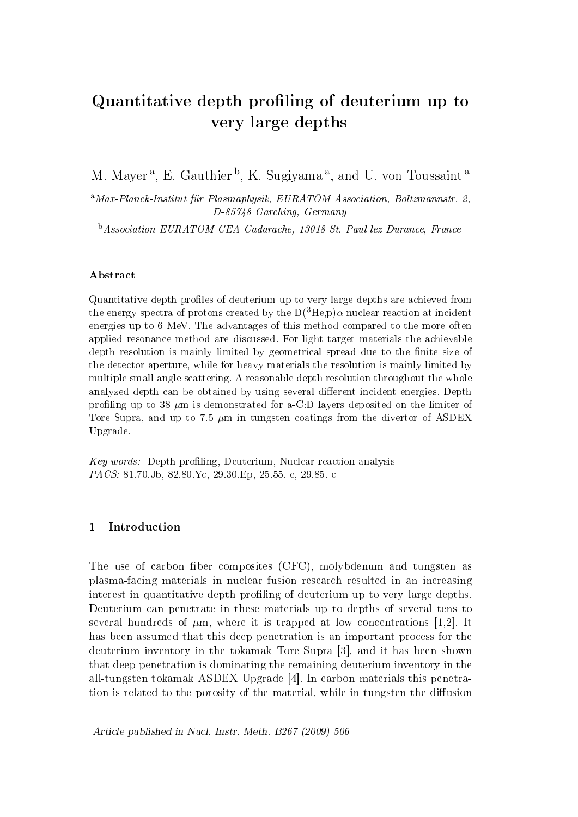# Quantitative depth profiling of deuterium up to very large depths

M. Mayer<sup>a</sup>, E. Gauthier<sup>b</sup>, K. Sugiyama<sup>a</sup>, and U. von Toussaint<sup>a</sup>

<sup>a</sup>Max-Planck-Institut für Plasmaphysik, EURATOM Association, Boltzmannstr. 2, D-85748 Garching, Germany

<sup>b</sup>Association EURATOM-CEA Cadarache, 13018 St. Paul lez Durance, France

## Abstract

Quantitative depth profiles of deuterium up to very large depths are achieved from the energy spectra of protons created by the  $D(^{3}He,p)\alpha$  nuclear reaction at incident energies up to 6 MeV. The advantages of this method compared to the more often applied resonance method are discussed. For light target materials the achievable depth resolution is mainly limited by geometrical spread due to the finite size of the detector aperture, while for heavy materials the resolution is mainly limited by multiple small-angle scattering. A reasonable depth resolution throughout the whole analyzed depth can be obtained by using several different incident energies. Depth profiling up to 38  $\mu$ m is demonstrated for a-C:D layers deposited on the limiter of Tore Supra, and up to 7.5  $\mu$ m in tungsten coatings from the divertor of ASDEX Upgrade.

 $Key words:$  Depth profiling, Deuterium, Nuclear reaction analysis PACS: 81.70.Jb, 82.80.Yc, 29.30.Ep, 25.55.-e, 29.85.-c

# 1 Introduction

The use of carbon fiber composites (CFC), molybdenum and tungsten as plasma-facing materials in nuclear fusion research resulted in an increasing interest in quantitative depth profiling of deuterium up to very large depths. Deuterium can penetrate in these materials up to depths of several tens to several hundreds of  $\mu$ m, where it is trapped at low concentrations [1,2]. It has been assumed that this deep penetration is an important process for the deuterium inventory in the tokamak Tore Supra [3], and it has been shown that deep penetration is dominating the remaining deuterium inventory in the all-tungsten tokamak ASDEX Upgrade [4]. In carbon materials this penetration is related to the porosity of the material, while in tungsten the diffusion

Article published in Nucl. Instr. Meth. B267 (2009) 506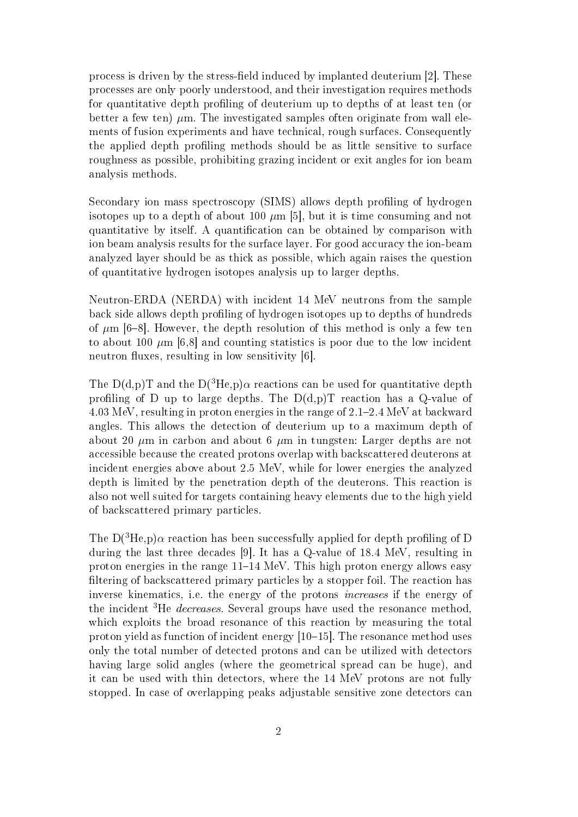process is driven by the stress-eld induced by implanted deuterium [2]. These processes are only poorly understood, and their investigation requires methods for quantitative depth profiling of deuterium up to depths of at least ten (or better a few ten)  $\mu$ m. The investigated samples often originate from wall elements of fusion experiments and have technical, rough surfaces. Consequently the applied depth profiling methods should be as little sensitive to surface roughness as possible, prohibiting grazing incident or exit angles for ion beam analysis methods.

Secondary ion mass spectroscopy (SIMS) allows depth profiling of hydrogen isotopes up to a depth of about 100  $\mu$ m [5], but it is time consuming and not quantitative by itself. A quantification can be obtained by comparison with ion beam analysis results for the surface layer. For good accuracy the ion-beam analyzed layer should be as thick as possible, which again raises the question of quantitative hydrogen isotopes analysis up to larger depths.

Neutron-ERDA (NERDA) with incident 14 MeV neutrons from the sample back side allows depth profiling of hydrogen isotopes up to depths of hundreds of  $\mu$ m [6-8]. However, the depth resolution of this method is only a few ten to about 100  $\mu$ m [6,8] and counting statistics is poor due to the low incident neutron fluxes, resulting in low sensitivity  $[6]$ .

The  $D(d,p)T$  and the  $D(^{3}He,p)\alpha$  reactions can be used for quantitative depth profiling of D up to large depths. The  $D(d,p)T$  reaction has a Q-value of  $4.03$  MeV, resulting in proton energies in the range of  $2.1-2.4$  MeV at backward angles. This allows the detection of deuterium up to a maximum depth of about 20  $\mu$ m in carbon and about 6  $\mu$ m in tungsten: Larger depths are not accessible because the created protons overlap with backscattered deuterons at incident energies above about 2.5 MeV, while for lower energies the analyzed depth is limited by the penetration depth of the deuterons. This reaction is also not well suited for targets containing heavy elements due to the high yield of backscattered primary particles.

The  $D(^{3}He,p)\alpha$  reaction has been successfully applied for depth profiling of D during the last three decades [9]. It has a Q-value of 18.4 MeV, resulting in proton energies in the range  $11-14$  MeV. This high proton energy allows easy filtering of backscattered primary particles by a stopper foil. The reaction has inverse kinematics, i.e. the energy of the protons increases if the energy of the incident <sup>3</sup>He *decreases*. Several groups have used the resonance method, which exploits the broad resonance of this reaction by measuring the total proton yield as function of incident energy  $[10-15]$ . The resonance method uses only the total number of detected protons and can be utilized with detectors having large solid angles (where the geometrical spread can be huge), and it can be used with thin detectors, where the 14 MeV protons are not fully stopped. In case of overlapping peaks adjustable sensitive zone detectors can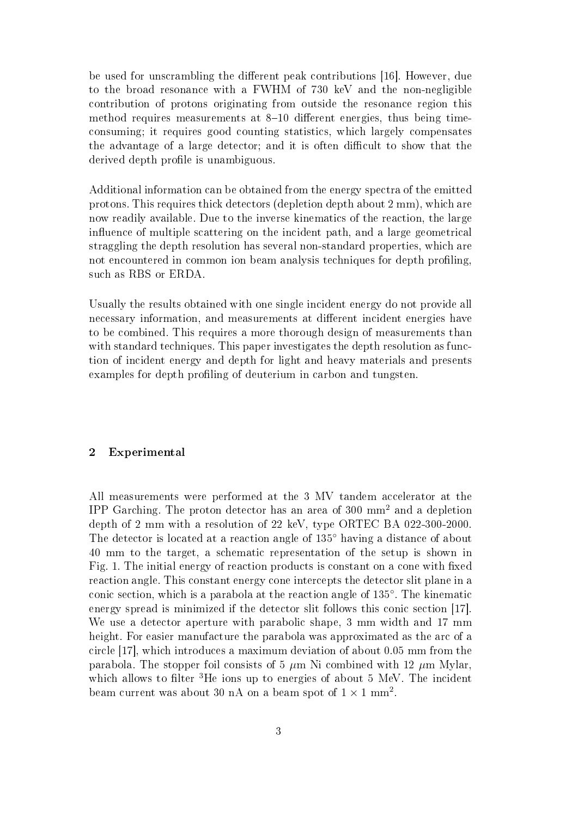be used for unscrambling the different peak contributions [16]. However, due to the broad resonance with a FWHM of 730 keV and the non-negligible contribution of protons originating from outside the resonance region this method requires measurements at  $8-10$  different energies, thus being timeconsuming; it requires good counting statistics, which largely compensates the advantage of a large detector; and it is often difficult to show that the derived depth profile is unambiguous.

Additional information can be obtained from the energy spectra of the emitted protons. This requires thick detectors (depletion depth about 2 mm), which are now readily available. Due to the inverse kinematics of the reaction, the large influence of multiple scattering on the incident path, and a large geometrical straggling the depth resolution has several non-standard properties, which are not encountered in common ion beam analysis techniques for depth profiling, such as RBS or ERDA.

Usually the results obtained with one single incident energy do not provide all necessary information, and measurements at different incident energies have to be combined. This requires a more thorough design of measurements than with standard techniques. This paper investigates the depth resolution as function of incident energy and depth for light and heavy materials and presents examples for depth profiling of deuterium in carbon and tungsten.

# 2 Experimental

All measurements were performed at the 3 MV tandem accelerator at the IPP Garching. The proton detector has an area of 300 mm<sup>2</sup> and a depletion depth of 2 mm with a resolution of 22 keV, type ORTEC BA 022-300-2000. The detector is located at a reaction angle of 135° having a distance of about 40 mm to the target, a schematic representation of the setup is shown in Fig. 1. The initial energy of reaction products is constant on a cone with fixed reaction angle. This constant energy cone intercepts the detector slit plane in a conic section, which is a parabola at the reaction angle of 135◦ . The kinematic energy spread is minimized if the detector slit follows this conic section [17]. We use a detector aperture with parabolic shape, 3 mm width and 17 mm height. For easier manufacture the parabola was approximated as the arc of a circle [17], which introduces a maximum deviation of about 0.05 mm from the parabola. The stopper foil consists of 5  $\mu$ m Ni combined with 12  $\mu$ m Mylar, which allows to filter  ${}^{3}$ He ions up to energies of about 5 MeV. The incident beam current was about 30 nA on a beam spot of  $1 \times 1$  mm<sup>2</sup>.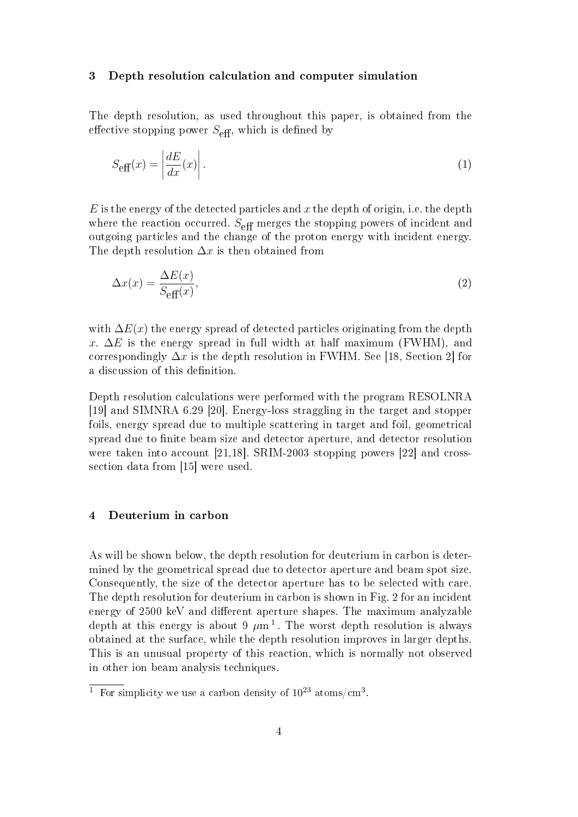#### 3 Depth resolution calculation and computer simulation

The depth resolution, as used throughout this paper, is obtained from the effective stopping power  $S_{\text{eff}}$ , which is defined by

$$
S_{\text{eff}}(x) = \left| \frac{dE}{dx}(x) \right|.
$$
 (1)

 $E$  is the energy of the detected particles and x the depth of origin, i.e. the depth where the reaction occurred.  $S_{\text{eff}}$  merges the stopping powers of incident and outgoing particles and the change of the proton energy with incident energy. The depth resolution  $\Delta x$  is then obtained from

$$
\Delta x(x) = \frac{\Delta E(x)}{S_{\text{eff}}(x)},\tag{2}
$$

with  $\Delta E(x)$  the energy spread of detected particles originating from the depth x.  $\Delta E$  is the energy spread in full width at half maximum (FWHM), and correspondingly  $\Delta x$  is the depth resolution in FWHM. See [18, Section 2] for a discussion of this definition.

Depth resolution calculations were performed with the program RESOLNRA [19] and SIMNRA 6.29 [20]. Energy-loss straggling in the target and stopper foils, energy spread due to multiple scattering in target and foil, geometrical spread due to finite beam size and detector aperture, and detector resolution were taken into account [21,18]. SRIM-2003 stopping powers [22] and crosssection data from [15] were used.

## 4 Deuterium in carbon

As will be shown below, the depth resolution for deuterium in carbon is determined by the geometrical spread due to detector aperture and beam spot size. Consequently, the size of the detector aperture has to be selected with care. The depth resolution for deuterium in carbon is shown in Fig. 2 for an incident energy of 2500 keV and different aperture shapes. The maximum analyzable depth at this energy is about 9  $\mu$ m<sup>1</sup>. The worst depth resolution is always obtained at the surface, while the depth resolution improves in larger depths. This is an unusual property of this reaction, which is normally not observed in other ion beam analysis techniques.

<sup>&</sup>lt;sup>1</sup> For simplicity we use a carbon density of  $10^{23}$  atoms/cm<sup>3</sup>.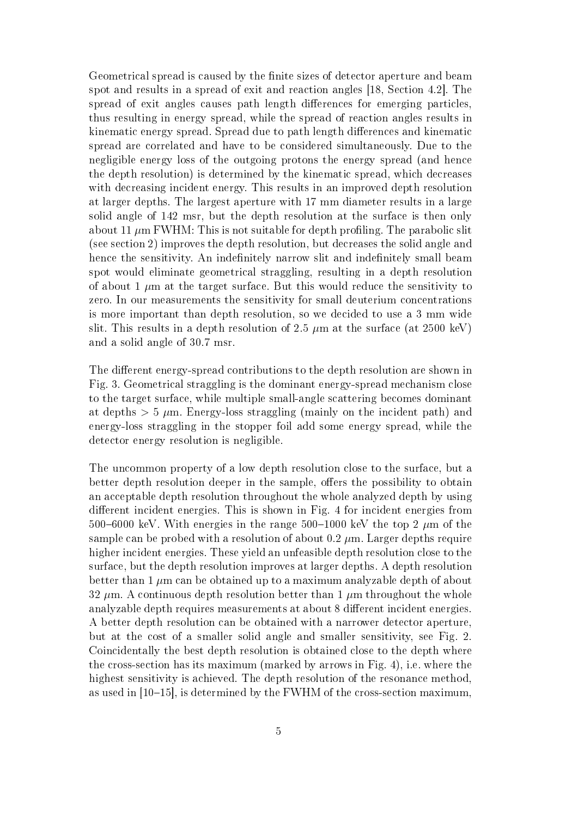Geometrical spread is caused by the finite sizes of detector aperture and beam spot and results in a spread of exit and reaction angles [18, Section 4.2]. The spread of exit angles causes path length differences for emerging particles, thus resulting in energy spread, while the spread of reaction angles results in kinematic energy spread. Spread due to path length differences and kinematic spread are correlated and have to be considered simultaneously. Due to the negligible energy loss of the outgoing protons the energy spread (and hence the depth resolution) is determined by the kinematic spread, which decreases with decreasing incident energy. This results in an improved depth resolution at larger depths. The largest aperture with 17 mm diameter results in a large solid angle of 142 msr, but the depth resolution at the surface is then only about 11  $\mu$ m FWHM: This is not suitable for depth profiling. The parabolic slit (see section 2) improves the depth resolution, but decreases the solid angle and hence the sensitivity. An indefinitely narrow slit and indefinitely small beam spot would eliminate geometrical straggling, resulting in a depth resolution of about 1  $\mu$ m at the target surface. But this would reduce the sensitivity to zero. In our measurements the sensitivity for small deuterium concentrations is more important than depth resolution, so we decided to use a 3 mm wide slit. This results in a depth resolution of 2.5  $\mu$ m at the surface (at 2500 keV) and a solid angle of 30.7 msr.

The different energy-spread contributions to the depth resolution are shown in Fig. 3. Geometrical straggling is the dominant energy-spread mechanism close to the target surface, while multiple small-angle scattering becomes dominant at depths  $> 5 \mu$ m. Energy-loss straggling (mainly on the incident path) and energy-loss straggling in the stopper foil add some energy spread, while the detector energy resolution is negligible.

The uncommon property of a low depth resolution close to the surface, but a better depth resolution deeper in the sample, offers the possibility to obtain an acceptable depth resolution throughout the whole analyzed depth by using different incident energies. This is shown in Fig. 4 for incident energies from 500–6000 keV. With energies in the range 500–1000 keV the top 2  $\mu$ m of the sample can be probed with a resolution of about  $0.2 \mu$ m. Larger depths require higher incident energies. These yield an unfeasible depth resolution close to the surface, but the depth resolution improves at larger depths. A depth resolution better than  $1 \mu m$  can be obtained up to a maximum analyzable depth of about  $32 \mu$ m. A continuous depth resolution better than 1  $\mu$ m throughout the whole analyzable depth requires measurements at about 8 different incident energies. A better depth resolution can be obtained with a narrower detector aperture, but at the cost of a smaller solid angle and smaller sensitivity, see Fig. 2. Coincidentally the best depth resolution is obtained close to the depth where the cross-section has its maximum (marked by arrows in Fig. 4), i.e. where the highest sensitivity is achieved. The depth resolution of the resonance method, as used in  $[10-15]$ , is determined by the FWHM of the cross-section maximum,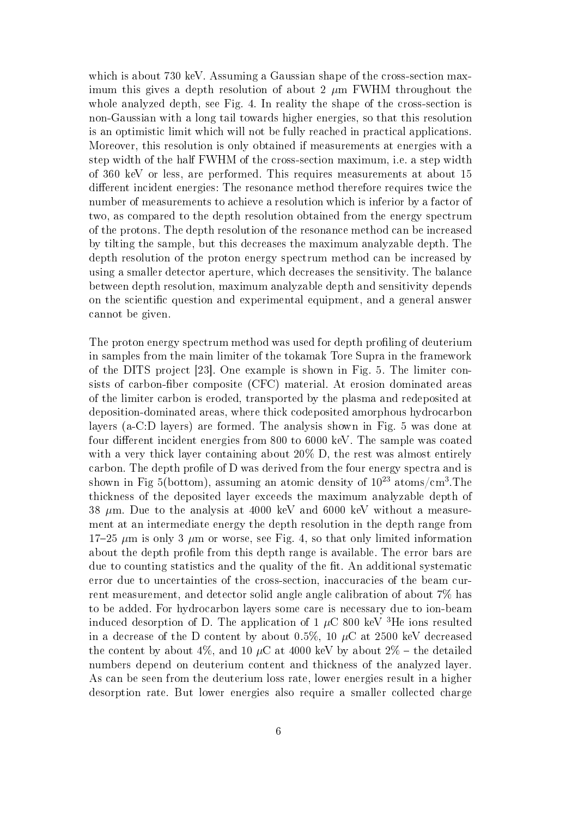which is about 730 keV. Assuming a Gaussian shape of the cross-section maximum this gives a depth resolution of about 2  $\mu$ m FWHM throughout the whole analyzed depth, see Fig. 4. In reality the shape of the cross-section is non-Gaussian with a long tail towards higher energies, so that this resolution is an optimistic limit which will not be fully reached in practical applications. Moreover, this resolution is only obtained if measurements at energies with a step width of the half FWHM of the cross-section maximum, i.e. a step width of 360 keV or less, are performed. This requires measurements at about 15 different incident energies: The resonance method therefore requires twice the number of measurements to achieve a resolution which is inferior by a factor of two, as compared to the depth resolution obtained from the energy spectrum of the protons. The depth resolution of the resonance method can be increased by tilting the sample, but this decreases the maximum analyzable depth. The depth resolution of the proton energy spectrum method can be increased by using a smaller detector aperture, which decreases the sensitivity. The balance between depth resolution, maximum analyzable depth and sensitivity depends on the scientific question and experimental equipment, and a general answer cannot be given.

The proton energy spectrum method was used for depth profiling of deuterium in samples from the main limiter of the tokamak Tore Supra in the framework of the DITS project [23]. One example is shown in Fig. 5. The limiter consists of carbon-fiber composite (CFC) material. At erosion dominated areas of the limiter carbon is eroded, transported by the plasma and redeposited at deposition-dominated areas, where thick codeposited amorphous hydrocarbon layers (a-C:D layers) are formed. The analysis shown in Fig. 5 was done at four different incident energies from  $800$  to  $6000 \text{ keV}$ . The sample was coated with a very thick layer containing about 20% D, the rest was almost entirely carbon. The depth profile of D was derived from the four energy spectra and is shown in Fig 5(bottom), assuming an atomic density of  $10^{23}$  atoms/cm<sup>3</sup>.The thickness of the deposited layer exceeds the maximum analyzable depth of 38  $\mu$ m. Due to the analysis at 4000 keV and 6000 keV without a measurement at an intermediate energy the depth resolution in the depth range from  $17-25 \mu m$  is only 3  $\mu m$  or worse, see Fig. 4, so that only limited information about the depth profile from this depth range is available. The error bars are due to counting statistics and the quality of the fit. An additional systematic error due to uncertainties of the cross-section, inaccuracies of the beam current measurement, and detector solid angle angle calibration of about 7% has to be added. For hydrocarbon layers some care is necessary due to ion-beam induced desorption of D. The application of 1  $\mu$ C 800 keV <sup>3</sup>He ions resulted in a decrease of the D content by about 0.5%, 10  $\mu$ C at 2500 keV decreased the content by about 4%, and 10  $\mu$ C at 4000 keV by about 2% – the detailed numbers depend on deuterium content and thickness of the analyzed layer. As can be seen from the deuterium loss rate, lower energies result in a higher desorption rate. But lower energies also require a smaller collected charge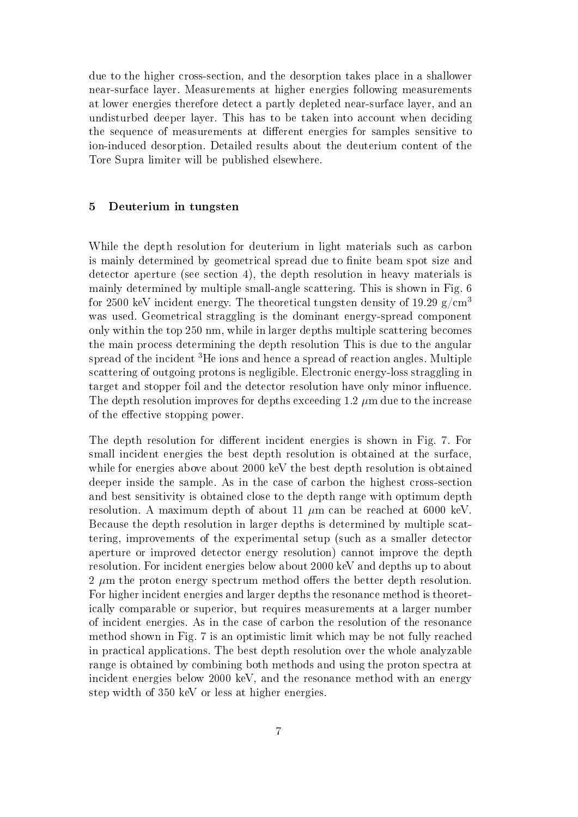due to the higher cross-section, and the desorption takes place in a shallower near-surface layer. Measurements at higher energies following measurements at lower energies therefore detect a partly depleted near-surface layer, and an undisturbed deeper layer. This has to be taken into account when deciding the sequence of measurements at different energies for samples sensitive to ion-induced desorption. Detailed results about the deuterium content of the Tore Supra limiter will be published elsewhere.

## 5 Deuterium in tungsten

While the depth resolution for deuterium in light materials such as carbon is mainly determined by geometrical spread due to finite beam spot size and detector aperture (see section 4), the depth resolution in heavy materials is mainly determined by multiple small-angle scattering. This is shown in Fig. 6 for 2500 keV incident energy. The theoretical tungsten density of 19.29  $g/cm<sup>3</sup>$ was used. Geometrical straggling is the dominant energy-spread component only within the top 250 nm, while in larger depths multiple scattering becomes the main process determining the depth resolution This is due to the angular spread of the incident <sup>3</sup>He ions and hence a spread of reaction angles. Multiple scattering of outgoing protons is negligible. Electronic energy-loss straggling in target and stopper foil and the detector resolution have only minor influence. The depth resolution improves for depths exceeding  $1.2 \mu$ m due to the increase of the effective stopping power.

The depth resolution for different incident energies is shown in Fig. 7. For small incident energies the best depth resolution is obtained at the surface, while for energies above about 2000 keV the best depth resolution is obtained deeper inside the sample. As in the case of carbon the highest cross-section and best sensitivity is obtained close to the depth range with optimum depth resolution. A maximum depth of about 11  $\mu$ m can be reached at 6000 keV. Because the depth resolution in larger depths is determined by multiple scattering, improvements of the experimental setup (such as a smaller detector aperture or improved detector energy resolution) cannot improve the depth resolution. For incident energies below about 2000 keV and depths up to about  $2 \mu m$  the proton energy spectrum method offers the better depth resolution. For higher incident energies and larger depths the resonance method is theoretically comparable or superior, but requires measurements at a larger number of incident energies. As in the case of carbon the resolution of the resonance method shown in Fig. 7 is an optimistic limit which may be not fully reached in practical applications. The best depth resolution over the whole analyzable range is obtained by combining both methods and using the proton spectra at incident energies below 2000 keV, and the resonance method with an energy step width of 350 keV or less at higher energies.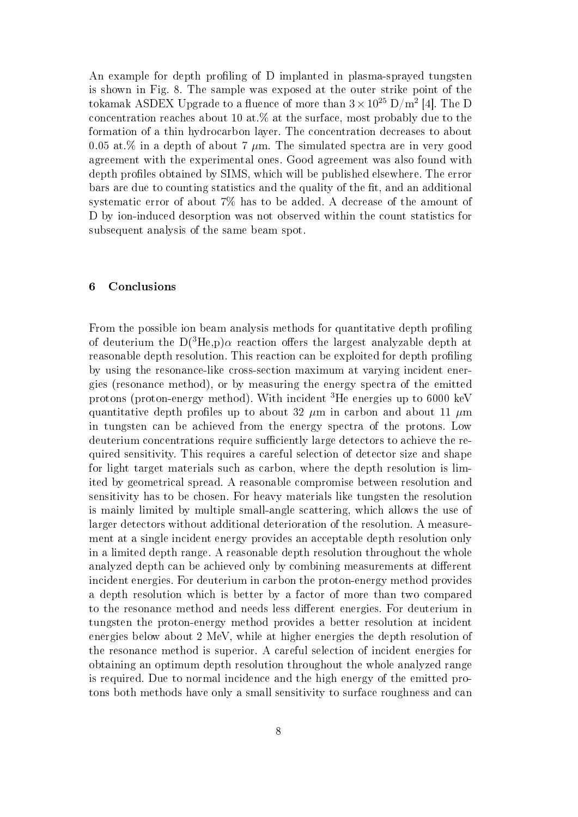An example for depth profiling of D implanted in plasma-sprayed tungsten is shown in Fig. 8. The sample was exposed at the outer strike point of the tokamak ASDEX Upgrade to a fluence of more than  $3 \times 10^{25}$  D/m<sup>2</sup> [4]. The D concentration reaches about 10 at.% at the surface, most probably due to the formation of a thin hydrocarbon layer. The concentration decreases to about 0.05 at.% in a depth of about 7  $\mu$ m. The simulated spectra are in very good agreement with the experimental ones. Good agreement was also found with depth profiles obtained by SIMS, which will be published elsewhere. The error bars are due to counting statistics and the quality of the fit, and an additional systematic error of about 7% has to be added. A decrease of the amount of D by ion-induced desorption was not observed within the count statistics for subsequent analysis of the same beam spot.

## 6 Conclusions

From the possible ion beam analysis methods for quantitative depth profiling of deuterium the  $D(^{3}He,p)\alpha$  reaction offers the largest analyzable depth at reasonable depth resolution. This reaction can be exploited for depth profiling by using the resonance-like cross-section maximum at varying incident energies (resonance method), or by measuring the energy spectra of the emitted protons (proton-energy method). With incident <sup>3</sup>He energies up to 6000 keV quantitative depth profiles up to about 32  $\mu$ m in carbon and about 11  $\mu$ m in tungsten can be achieved from the energy spectra of the protons. Low deuterium concentrations require sufficiently large detectors to achieve the required sensitivity. This requires a careful selection of detector size and shape for light target materials such as carbon, where the depth resolution is limited by geometrical spread. A reasonable compromise between resolution and sensitivity has to be chosen. For heavy materials like tungsten the resolution is mainly limited by multiple small-angle scattering, which allows the use of larger detectors without additional deterioration of the resolution. A measurement at a single incident energy provides an acceptable depth resolution only in a limited depth range. A reasonable depth resolution throughout the whole analyzed depth can be achieved only by combining measurements at different incident energies. For deuterium in carbon the proton-energy method provides a depth resolution which is better by a factor of more than two compared to the resonance method and needs less different energies. For deuterium in tungsten the proton-energy method provides a better resolution at incident energies below about 2 MeV, while at higher energies the depth resolution of the resonance method is superior. A careful selection of incident energies for obtaining an optimum depth resolution throughout the whole analyzed range is required. Due to normal incidence and the high energy of the emitted protons both methods have only a small sensitivity to surface roughness and can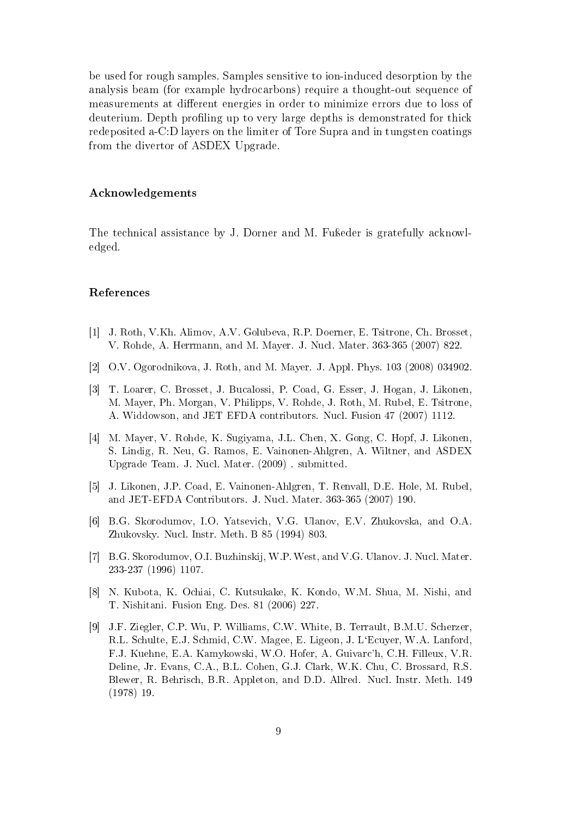be used for rough samples. Samples sensitive to ion-induced desorption by the analysis beam (for example hydrocarbons) require a thought-out sequence of measurements at different energies in order to minimize errors due to loss of deuterium. Depth profiling up to very large depths is demonstrated for thick redeposited a-C:D layers on the limiter of Tore Supra and in tungsten coatings from the divertor of ASDEX Upgrade.

#### Acknowledgements

The technical assistance by J. Dorner and M. Fu<sub>iseder</sub> is gratefully acknowledged.

#### References

- [1] J. Roth, V.Kh. Alimov, A.V. Golubeva, R.P. Doerner, E. Tsitrone, Ch. Brosset, V. Rohde, A. Herrmann, and M. Mayer. J. Nucl. Mater. 363-365 (2007) 822.
- [2] O.V. Ogorodnikova, J. Roth, and M. Mayer. J. Appl. Phys. 103 (2008) 034902.
- [3] T. Loarer, C. Brosset, J. Bucalossi, P. Coad, G. Esser, J. Hogan, J. Likonen, M. Mayer, Ph. Morgan, V. Philipps, V. Rohde, J. Roth, M. Rubel, E. Tsitrone, A. Widdowson, and JET EFDA contributors. Nucl. Fusion 47 (2007) 1112.
- [4] M. Mayer, V. Rohde, K. Sugiyama, J.L. Chen, X. Gong, C. Hopf, J. Likonen, S. Lindig, R. Neu, G. Ramos, E. Vainonen-Ahlgren, A. Wiltner, and ASDEX Upgrade Team. J. Nucl. Mater. (2009) . submitted.
- [5] J. Likonen, J.P. Coad, E. Vainonen-Ahlgren, T. Renvall, D.E. Hole, M. Rubel, and JET-EFDA Contributors. J. Nucl. Mater. 363-365 (2007) 190.
- [6] B.G. Skorodumov, I.O. Yatsevich, V.G. Ulanov, E.V. Zhukovska, and O.A. Zhukovsky. Nucl. Instr. Meth. B 85 (1994) 803.
- [7] B.G. Skorodumov, O.I. Buzhinskij, W.P. West, and V.G. Ulanov. J. Nucl. Mater. 233-237 (1996) 1107.
- [8] N. Kubota, K. Ochiai, C. Kutsukake, K. Kondo, W.M. Shua, M. Nishi, and T. Nishitani. Fusion Eng. Des. 81 (2006) 227.
- [9] J.F. Ziegler, C.P. Wu, P. Williams, C.W. White, B. Terrault, B.M.U. Scherzer, R.L. Schulte, E.J. Schmid, C.W. Magee, E. Ligeon, J. L`Ecuyer, W.A. Lanford, F.J. Kuehne, E.A. Kamykowski, W.O. Hofer, A. Guivarc'h, C.H. Filleux, V.R. Deline, Jr. Evans, C.A., B.L. Cohen, G.J. Clark, W.K. Chu, C. Brossard, R.S. Blewer, R. Behrisch, B.R. Appleton, and D.D. Allred. Nucl. Instr. Meth. 149 (1978) 19.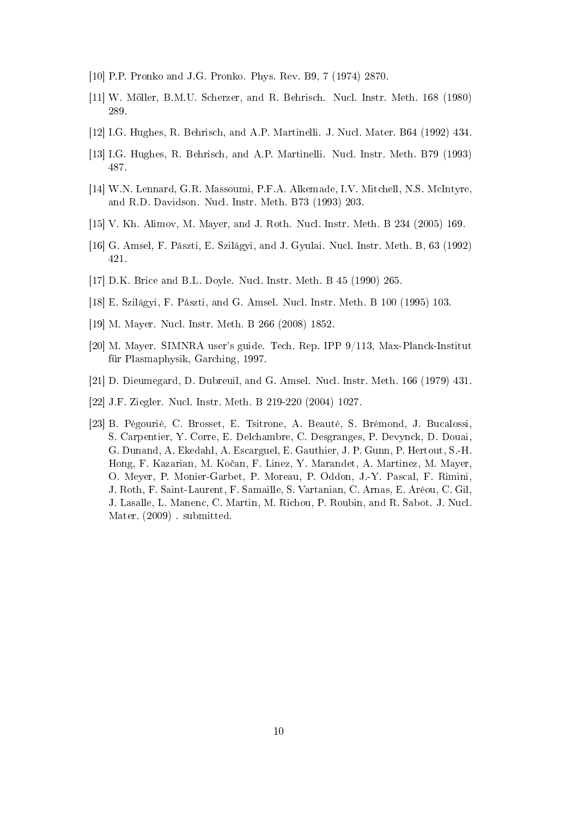- [10] P.P. Pronko and J.G. Pronko. Phys. Rev. B9, 7 (1974) 2870.
- [11] W. Möller, B.M.U. Scherzer, and R. Behrisch. Nucl. Instr. Meth. 168 (1980) 289.
- [12] I.G. Hughes, R. Behrisch, and A.P. Martinelli. J. Nucl. Mater. B64 (1992) 434.
- [13] I.G. Hughes, R. Behrisch, and A.P. Martinelli. Nucl. Instr. Meth. B79 (1993) 487.
- [14] W.N. Lennard, G.R. Massoumi, P.F.A. Alkemade, I.V. Mitchell, N.S. McIntyre, and R.D. Davidson. Nucl. Instr. Meth. B73 (1993) 203.
- [15] V. Kh. Alimov, M. Mayer, and J. Roth. Nucl. Instr. Meth. B 234 (2005) 169.
- [16] G. Amsel, F. Pászti, E. Szilágyi, and J. Gyulai. Nucl. Instr. Meth. B, 63 (1992) 421.
- [17] D.K. Brice and B.L. Doyle. Nucl. Instr. Meth. B 45 (1990) 265.
- [18] E. Szilágyi, F. Pászti, and G. Amsel. Nucl. Instr. Meth. B 100 (1995) 103.
- [19] M. Mayer. Nucl. Instr. Meth. B 266 (2008) 1852.
- [20] M. Mayer. SIMNRA user's guide. Tech. Rep. IPP 9/113, Max-Planck-Institut für Plasmaphysik, Garching, 1997.
- [21] D. Dieumegard, D. Dubreuil, and G. Amsel. Nucl. Instr. Meth. 166 (1979) 431.
- [22] J.F. Ziegler. Nucl. Instr. Meth. B 219-220 (2004) 1027.
- [23] B. Pégourié, C. Brosset, E. Tsitrone, A. Beauté, S. Brémond, J. Bucalossi, S. Carpentier, Y. Corre, E. Delchambre, C. Desgranges, P. Devynck, D. Douai, G. Dunand, A. Ekedahl, A. Escarguel, E. Gauthier, J. P. Gunn, P. Hertout, S.-H. Hong, F. Kazarian, M. Kočan, F. Linez, Y. Marandet, A. Martinez, M. Mayer, O. Meyer, P. Monier-Garbet, P. Moreau, P. Oddon, J.-Y. Pascal, F. Rimini, J. Roth, F. Saint-Laurent, F. Samaille, S. Vartanian, C. Arnas, E. Aréou, C. Gil, J. Lasalle, L. Manenc, C. Martin, M. Richou, P. Roubin, and R. Sabot. J. Nucl. Mater. (2009) . submitted.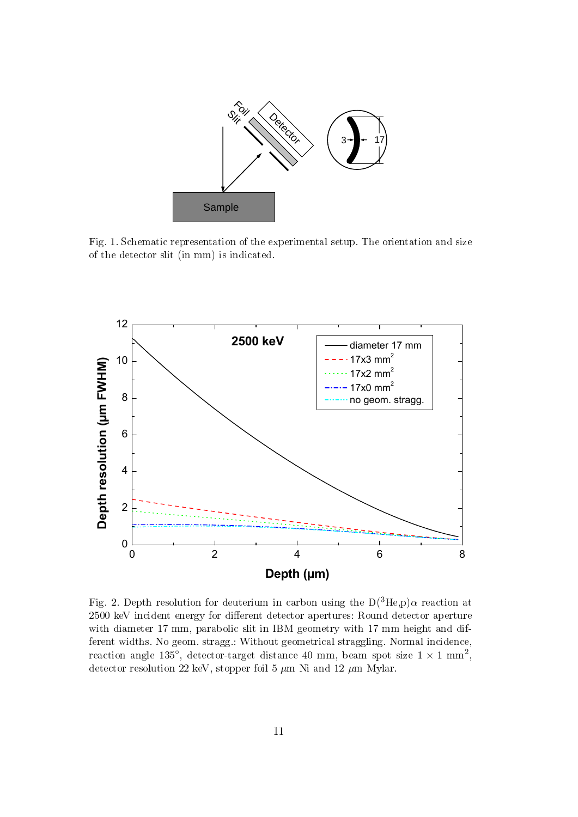

Fig. 1. Schematic representation of the experimental setup. The orientation and size of the detector slit (in mm) is indicated.



Fig. 2. Depth resolution for deuterium in carbon using the  $D(^{3}He,p)\alpha$  reaction at 2500 keV incident energy for different detector apertures: Round detector aperture with diameter 17 mm, parabolic slit in IBM geometry with 17 mm height and different widths. No geom. stragg.: Without geometrical straggling. Normal incidence, reaction angle 135°, detector-target distance 40 mm, beam spot size  $1 \times 1$  mm<sup>2</sup>, detector resolution 22 keV, stopper foil 5  $\mu$ m Ni and 12  $\mu$ m Mylar.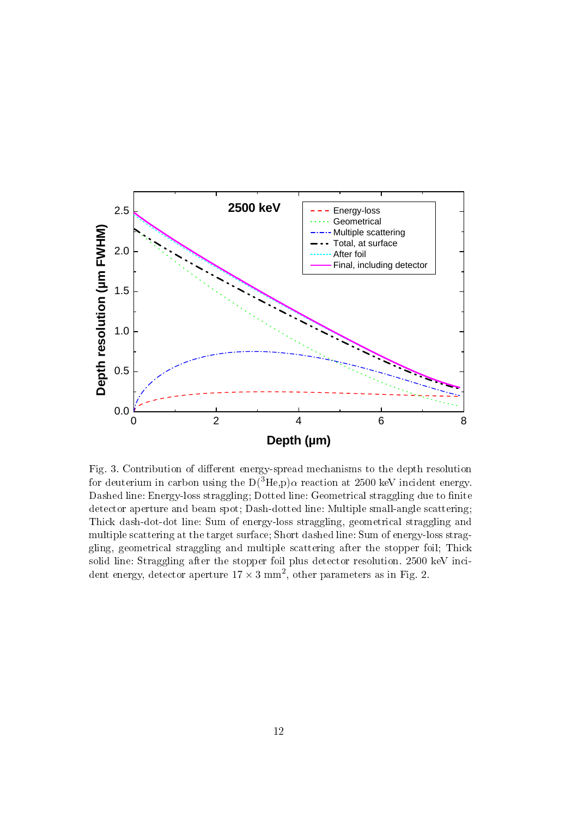

Fig. 3. Contribution of different energy-spread mechanisms to the depth resolution for deuterium in carbon using the  $D(^{3}He,p)\alpha$  reaction at 2500 keV incident energy. Dashed line: Energy-loss straggling; Dotted line: Geometrical straggling due to finite detector aperture and beam spot; Dash-dotted line: Multiple small-angle scattering; Thick dash-dot-dot line: Sum of energy-loss straggling, geometrical straggling and multiple scattering at the target surface; Short dashed line: Sum of energy-loss straggling, geometrical straggling and multiple scattering after the stopper foil; Thick solid line: Straggling after the stopper foil plus detector resolution. 2500 keV incident energy, detector aperture  $17 \times 3$  mm<sup>2</sup>, other parameters as in Fig. 2.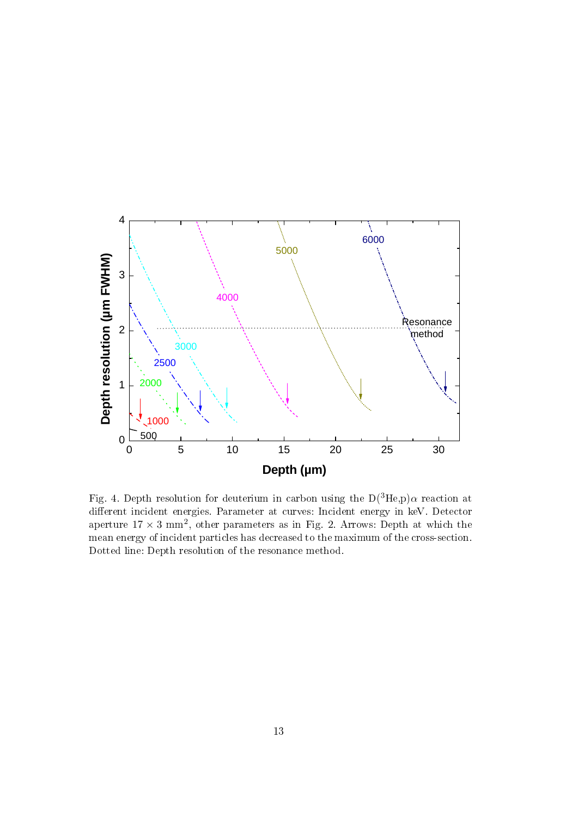

Fig. 4. Depth resolution for deuterium in carbon using the  $D(^{3}He,p)\alpha$  reaction at different incident energies. Parameter at curves: Incident energy in keV. Detector aperture  $17 \times 3$  mm<sup>2</sup>, other parameters as in Fig. 2. Arrows: Depth at which the mean energy of incident particles has decreased to the maximum of the cross-section. Dotted line: Depth resolution of the resonance method.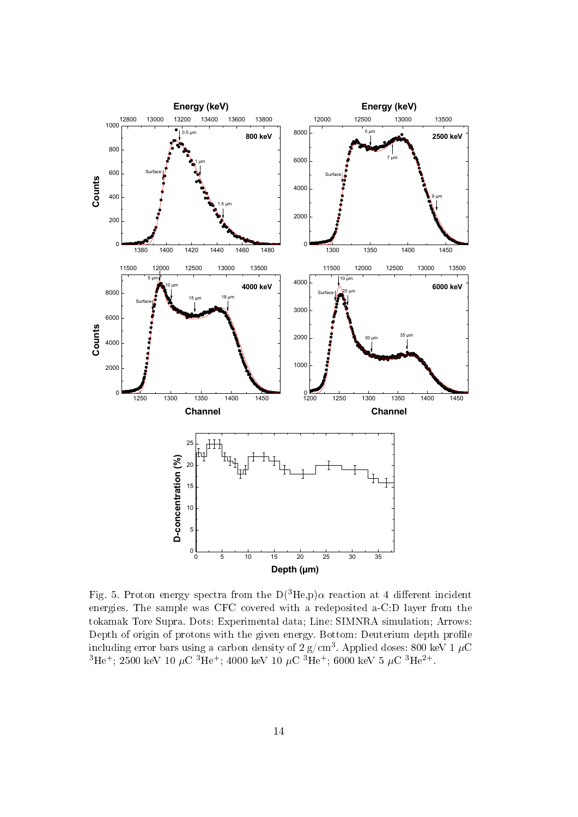

Fig. 5. Proton energy spectra from the  $D(^{3}He,p)\alpha$  reaction at 4 different incident energies. The sample was CFC covered with a redeposited a-C:D layer from the tokamak Tore Supra. Dots: Experimental data; Line: SIMNRA simulation; Arrows: Depth of origin of protons with the given energy. Bottom: Deuterium depth profile including error bars using a carbon density of 2 g/cm $^3$ . Applied doses: 800 keV 1  $\mu\mathrm{C}$  $^3\mathrm{He^+};\,2500\,\,\mathrm{keV}\,\,10\,\,\mu\mathrm{C}\,\,{}^3\mathrm{He^+};\,4000\,\,\mathrm{keV}\,\,10\,\,\mu\mathrm{C}\,\,{}^3\mathrm{He^+};\,6000\,\,\mathrm{keV}\,\,5\,\,\mu\mathrm{C}\,\,{}^3\mathrm{He^{2+}}.$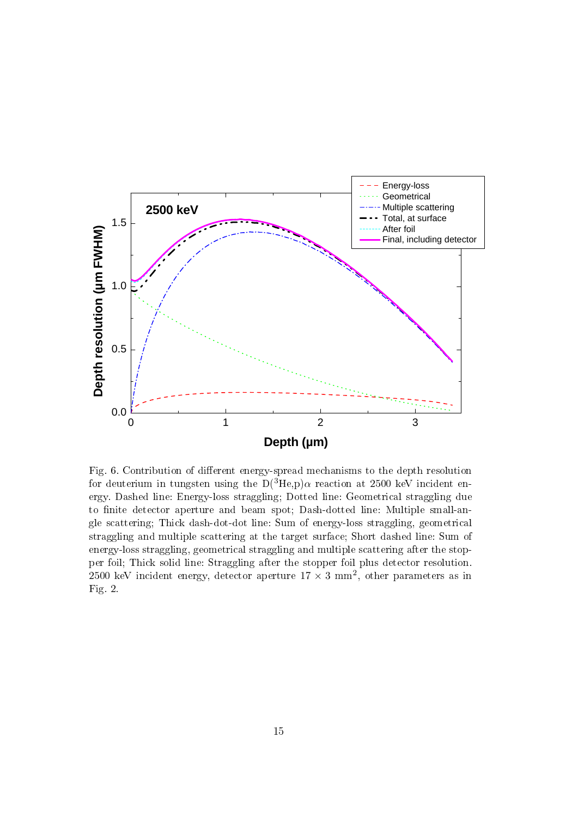

Fig. 6. Contribution of different energy-spread mechanisms to the depth resolution for deuterium in tungsten using the  $D(^{3}He,p)\alpha$  reaction at 2500 keV incident energy. Dashed line: Energy-loss straggling; Dotted line: Geometrical straggling due to finite detector aperture and beam spot; Dash-dotted line: Multiple small-angle scattering; Thick dash-dot-dot line: Sum of energy-loss straggling, geometrical straggling and multiple scattering at the target surface; Short dashed line: Sum of energy-loss straggling, geometrical straggling and multiple scattering after the stopper foil; Thick solid line: Straggling after the stopper foil plus detector resolution. 2500 keV incident energy, detector aperture  $17 \times 3$  mm<sup>2</sup>, other parameters as in Fig. 2.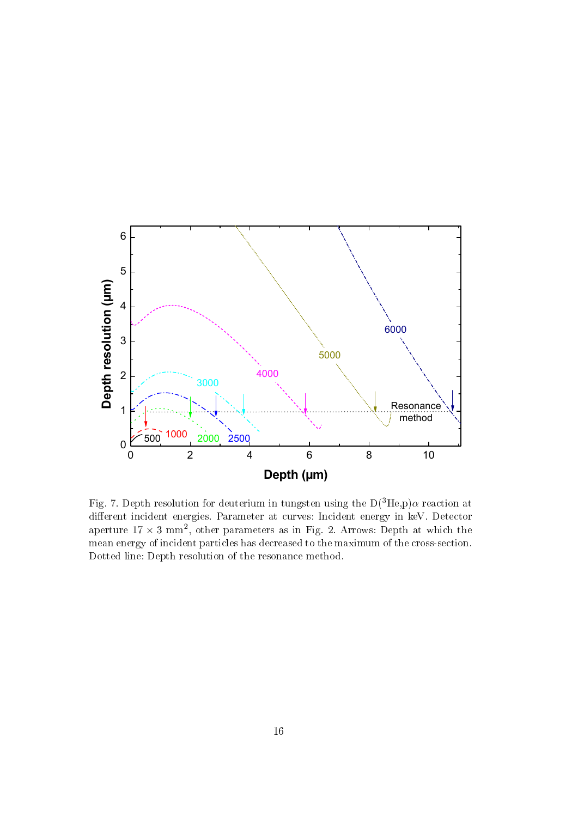

Fig. 7. Depth resolution for deuterium in tungsten using the  $D(^{3}He,p)\alpha$  reaction at different incident energies. Parameter at curves: Incident energy in keV. Detector aperture  $17 \times 3$  mm<sup>2</sup>, other parameters as in Fig. 2. Arrows: Depth at which the mean energy of incident particles has decreased to the maximum of the cross-section. Dotted line: Depth resolution of the resonance method.